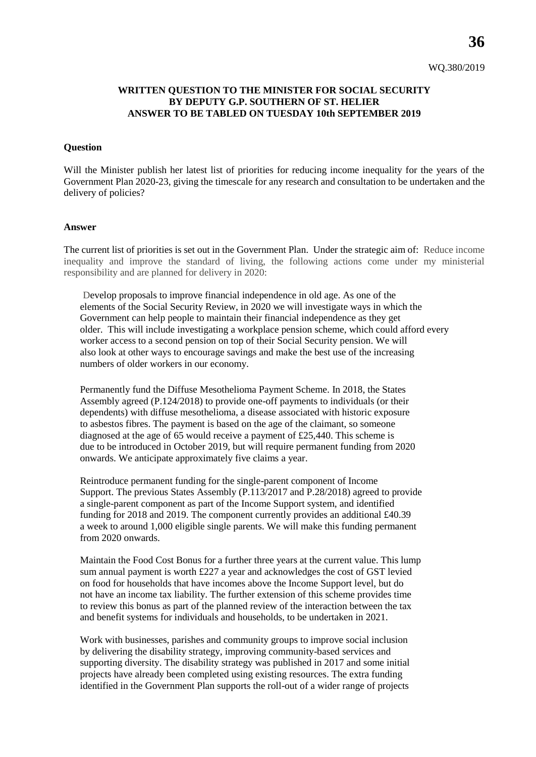**36**

## **WRITTEN QUESTION TO THE MINISTER FOR SOCIAL SECURITY BY DEPUTY G.P. SOUTHERN OF ST. HELIER ANSWER TO BE TABLED ON TUESDAY 10th SEPTEMBER 2019**

## **Question**

Will the Minister publish her latest list of priorities for reducing income inequality for the years of the Government Plan 2020-23, giving the timescale for any research and consultation to be undertaken and the delivery of policies?

## **Answer**

The current list of priorities is set out in the Government Plan. Under the strategic aim of: Reduce income inequality and improve the standard of living, the following actions come under my ministerial responsibility and are planned for delivery in 2020:

Develop proposals to improve financial independence in old age. As one of the elements of the Social Security Review, in 2020 we will investigate ways in which the Government can help people to maintain their financial independence as they get older. This will include investigating a workplace pension scheme, which could afford every worker access to a second pension on top of their Social Security pension. We will also look at other ways to encourage savings and make the best use of the increasing numbers of older workers in our economy.

Permanently fund the Diffuse Mesothelioma Payment Scheme. In 2018, the States Assembly agreed (P.124/2018) to provide one-off payments to individuals (or their dependents) with diffuse mesothelioma, a disease associated with historic exposure to asbestos fibres. The payment is based on the age of the claimant, so someone diagnosed at the age of 65 would receive a payment of £25,440. This scheme is due to be introduced in October 2019, but will require permanent funding from 2020 onwards. We anticipate approximately five claims a year.

Reintroduce permanent funding for the single-parent component of Income Support. The previous States Assembly (P.113/2017 and P.28/2018) agreed to provide a single-parent component as part of the Income Support system, and identified funding for 2018 and 2019. The component currently provides an additional £40.39 a week to around 1,000 eligible single parents. We will make this funding permanent from 2020 onwards.

Maintain the Food Cost Bonus for a further three years at the current value. This lump sum annual payment is worth £227 a year and acknowledges the cost of GST levied on food for households that have incomes above the Income Support level, but do not have an income tax liability. The further extension of this scheme provides time to review this bonus as part of the planned review of the interaction between the tax and benefit systems for individuals and households, to be undertaken in 2021.

Work with businesses, parishes and community groups to improve social inclusion by delivering the disability strategy, improving community-based services and supporting diversity. The disability strategy was published in 2017 and some initial projects have already been completed using existing resources. The extra funding identified in the Government Plan supports the roll-out of a wider range of projects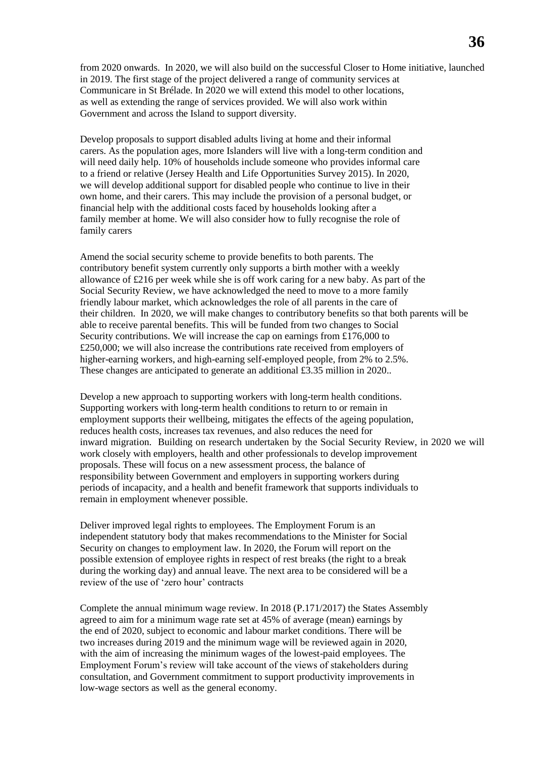from 2020 onwards. In 2020, we will also build on the successful Closer to Home initiative, launched in 2019. The first stage of the project delivered a range of community services at Communicare in St Brélade. In 2020 we will extend this model to other locations, as well as extending the range of services provided. We will also work within Government and across the Island to support diversity.

Develop proposals to support disabled adults living at home and their informal carers. As the population ages, more Islanders will live with a long-term condition and will need daily help. 10% of households include someone who provides informal care to a friend or relative (Jersey Health and Life Opportunities Survey 2015). In 2020, we will develop additional support for disabled people who continue to live in their own home, and their carers. This may include the provision of a personal budget, or financial help with the additional costs faced by households looking after a family member at home. We will also consider how to fully recognise the role of family carers

Amend the social security scheme to provide benefits to both parents. The contributory benefit system currently only supports a birth mother with a weekly allowance of £216 per week while she is off work caring for a new baby. As part of the Social Security Review, we have acknowledged the need to move to a more family friendly labour market, which acknowledges the role of all parents in the care of their children. In 2020, we will make changes to contributory benefits so that both parents will be able to receive parental benefits. This will be funded from two changes to Social Security contributions. We will increase the cap on earnings from £176,000 to £250,000; we will also increase the contributions rate received from employers of higher-earning workers, and high-earning self-employed people, from 2% to 2.5%. These changes are anticipated to generate an additional £3.35 million in 2020..

Develop a new approach to supporting workers with long-term health conditions. Supporting workers with long-term health conditions to return to or remain in employment supports their wellbeing, mitigates the effects of the ageing population, reduces health costs, increases tax revenues, and also reduces the need for inward migration. Building on research undertaken by the Social Security Review, in 2020 we will work closely with employers, health and other professionals to develop improvement proposals. These will focus on a new assessment process, the balance of responsibility between Government and employers in supporting workers during periods of incapacity, and a health and benefit framework that supports individuals to remain in employment whenever possible.

Deliver improved legal rights to employees. The Employment Forum is an independent statutory body that makes recommendations to the Minister for Social Security on changes to employment law. In 2020, the Forum will report on the possible extension of employee rights in respect of rest breaks (the right to a break during the working day) and annual leave. The next area to be considered will be a review of the use of 'zero hour' contracts

Complete the annual minimum wage review. In 2018 (P.171/2017) the States Assembly agreed to aim for a minimum wage rate set at 45% of average (mean) earnings by the end of 2020, subject to economic and labour market conditions. There will be two increases during 2019 and the minimum wage will be reviewed again in 2020, with the aim of increasing the minimum wages of the lowest-paid employees. The Employment Forum's review will take account of the views of stakeholders during consultation, and Government commitment to support productivity improvements in low-wage sectors as well as the general economy.